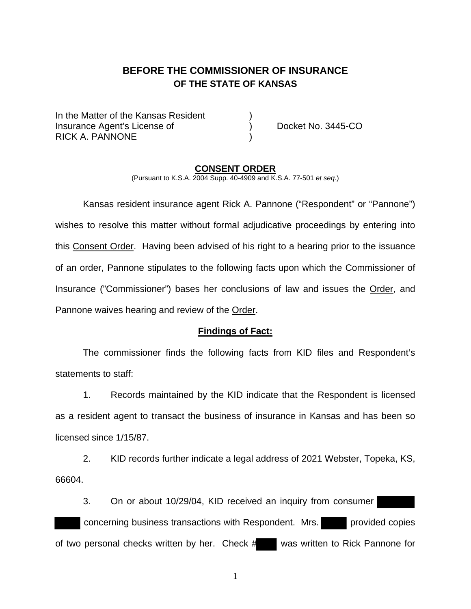# **BEFORE THE COMMISSIONER OF INSURANCE OF THE STATE OF KANSAS**

In the Matter of the Kansas Resident Insurance Agent's License of ) Docket No. 3445-CO RICK A. PANNONE

#### **CONSENT ORDER**

(Pursuant to K.S.A. 2004 Supp. 40-4909 and K.S.A. 77-501 *et seq.*)

 Kansas resident insurance agent Rick A. Pannone ("Respondent" or "Pannone") wishes to resolve this matter without formal adjudicative proceedings by entering into this Consent Order. Having been advised of his right to a hearing prior to the issuance of an order, Pannone stipulates to the following facts upon which the Commissioner of Insurance ("Commissioner") bases her conclusions of law and issues the Order, and Pannone waives hearing and review of the Order.

#### **Findings of Fact:**

 The commissioner finds the following facts from KID files and Respondent's statements to staff:

 1. Records maintained by the KID indicate that the Respondent is licensed as a resident agent to transact the business of insurance in Kansas and has been so licensed since 1/15/87.

 2. KID records further indicate a legal address of 2021 Webster, Topeka, KS, 66604.

 3. On or about 10/29/04, KID received an inquiry from consumer concerning business transactions with Respondent. Mrs. provided copies of two personal checks written by her. Check # was written to Rick Pannone for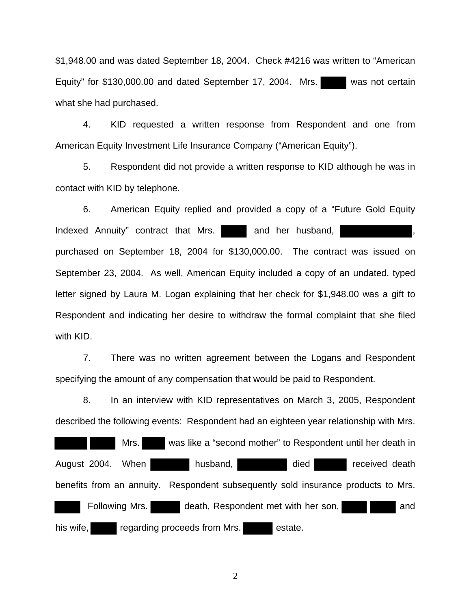\$1,948.00 and was dated September 18, 2004. Check #4216 was written to "American Equity" for \$130,000.00 and dated September 17, 2004. Mrs. was not certain what she had purchased.

 4. KID requested a written response from Respondent and one from American Equity Investment Life Insurance Company ("American Equity").

 5. Respondent did not provide a written response to KID although he was in contact with KID by telephone.

 6. American Equity replied and provided a copy of a "Future Gold Equity Indexed Annuity" contract that Mrs. and her husband, purchased on September 18, 2004 for \$130,000.00. The contract was issued on September 23, 2004. As well, American Equity included a copy of an undated, typed letter signed by Laura M. Logan explaining that her check for \$1,948.00 was a gift to Respondent and indicating her desire to withdraw the formal complaint that she filed with KID.

 7. There was no written agreement between the Logans and Respondent specifying the amount of any compensation that would be paid to Respondent.

 8. In an interview with KID representatives on March 3, 2005, Respondent described the following events: Respondent had an eighteen year relationship with Mrs.

 Mrs. was like a "second mother" to Respondent until her death in August 2004. When husband, and died received death benefits from an annuity. Respondent subsequently sold insurance products to Mrs. Following Mrs. death, Respondent met with her son, and his wife, **regarding proceeds from Mrs.** estate.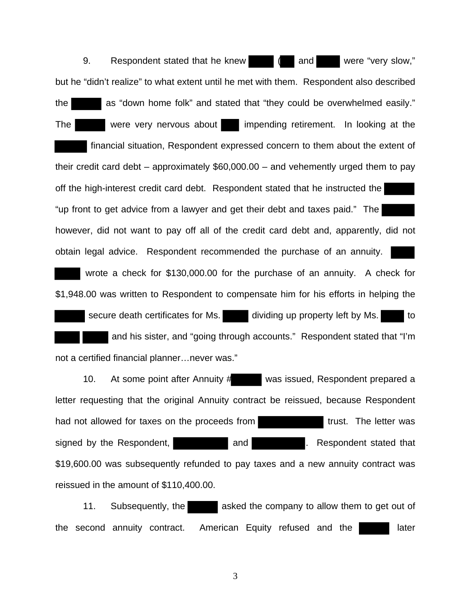9. Respondent stated that he knew  $\parallel$  and were "very slow," but he "didn't realize" to what extent until he met with them. Respondent also described the as "down home folk" and stated that "they could be overwhelmed easily." The were very nervous about impending retirement. In looking at the financial situation, Respondent expressed concern to them about the extent of their credit card debt – approximately \$60,000.00 – and vehemently urged them to pay off the high-interest credit card debt. Respondent stated that he instructed the "up front to get advice from a lawyer and get their debt and taxes paid." The however, did not want to pay off all of the credit card debt and, apparently, did not obtain legal advice. Respondent recommended the purchase of an annuity. wrote a check for \$130,000.00 for the purchase of an annuity. A check for \$1,948.00 was written to Respondent to compensate him for his efforts in helping the secure death certificates for Ms. dividing up property left by Ms. and his sister, and "going through accounts." Respondent stated that "I'm not a certified financial planner…never was."

 10. At some point after Annuity # was issued, Respondent prepared a letter requesting that the original Annuity contract be reissued, because Respondent had not allowed for taxes on the proceeds from the state of trust. The letter was signed by the Respondent, and and **and** Respondent stated that \$19,600.00 was subsequently refunded to pay taxes and a new annuity contract was reissued in the amount of \$110,400.00.

 11. Subsequently, the asked the company to allow them to get out of the second annuity contract. American Equity refused and the later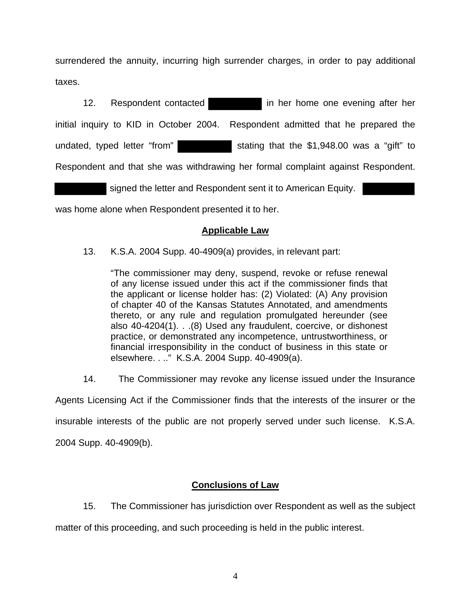surrendered the annuity, incurring high surrender charges, in order to pay additional taxes.

12. Respondent contacted in her home one evening after her initial inquiry to KID in October 2004. Respondent admitted that he prepared the undated, typed letter "from" stating that the \$1,948.00 was a "gift" to Respondent and that she was withdrawing her formal complaint against Respondent.

signed the letter and Respondent sent it to American Equity.

was home alone when Respondent presented it to her.

## **Applicable Law**

13. K.S.A. 2004 Supp. 40-4909(a) provides, in relevant part:

"The commissioner may deny, suspend, revoke or refuse renewal of any license issued under this act if the commissioner finds that the applicant or license holder has: (2) Violated: (A) Any provision of chapter 40 of the Kansas Statutes Annotated, and amendments thereto, or any rule and regulation promulgated hereunder (see also 40-4204(1). . .(8) Used any fraudulent, coercive, or dishonest practice, or demonstrated any incompetence, untrustworthiness, or financial irresponsibility in the conduct of business in this state or elsewhere. . .." K.S.A. 2004 Supp. 40-4909(a).

14. The Commissioner may revoke any license issued under the Insurance

Agents Licensing Act if the Commissioner finds that the interests of the insurer or the insurable interests of the public are not properly served under such license. K.S.A. 2004 Supp. 40-4909(b).

## **Conclusions of Law**

15. The Commissioner has jurisdiction over Respondent as well as the subject

matter of this proceeding, and such proceeding is held in the public interest.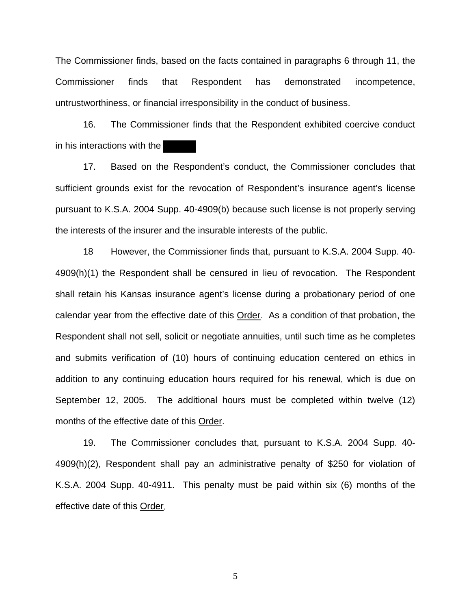The Commissioner finds, based on the facts contained in paragraphs 6 through 11, the Commissioner finds that Respondent has demonstrated incompetence, untrustworthiness, or financial irresponsibility in the conduct of business.

 16. The Commissioner finds that the Respondent exhibited coercive conduct in his interactions with the

 17. Based on the Respondent's conduct, the Commissioner concludes that sufficient grounds exist for the revocation of Respondent's insurance agent's license pursuant to K.S.A. 2004 Supp. 40-4909(b) because such license is not properly serving the interests of the insurer and the insurable interests of the public.

 18 However, the Commissioner finds that, pursuant to K.S.A. 2004 Supp. 40- 4909(h)(1) the Respondent shall be censured in lieu of revocation. The Respondent shall retain his Kansas insurance agent's license during a probationary period of one calendar year from the effective date of this Order. As a condition of that probation, the Respondent shall not sell, solicit or negotiate annuities, until such time as he completes and submits verification of (10) hours of continuing education centered on ethics in addition to any continuing education hours required for his renewal, which is due on September 12, 2005. The additional hours must be completed within twelve (12) months of the effective date of this Order.

 19. The Commissioner concludes that, pursuant to K.S.A. 2004 Supp. 40- 4909(h)(2), Respondent shall pay an administrative penalty of \$250 for violation of K.S.A. 2004 Supp. 40-4911. This penalty must be paid within six (6) months of the effective date of this Order.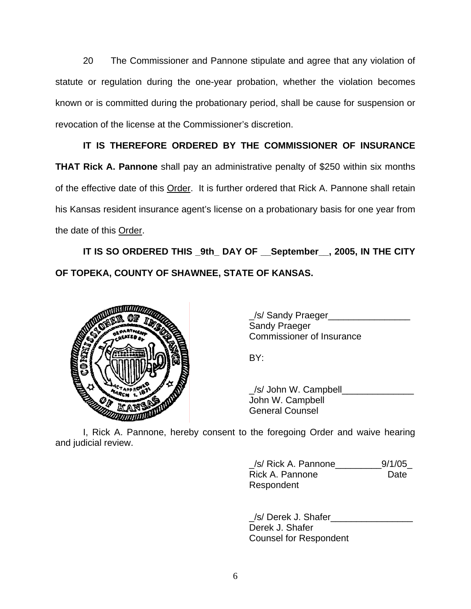20 The Commissioner and Pannone stipulate and agree that any violation of statute or regulation during the one-year probation, whether the violation becomes known or is committed during the probationary period, shall be cause for suspension or revocation of the license at the Commissioner's discretion.

 **IT IS THEREFORE ORDERED BY THE COMMISSIONER OF INSURANCE THAT Rick A. Pannone** shall pay an administrative penalty of \$250 within six months of the effective date of this Order. It is further ordered that Rick A. Pannone shall retain his Kansas resident insurance agent's license on a probationary basis for one year from the date of this Order.

 **IT IS SO ORDERED THIS \_9th\_ DAY OF \_\_September\_\_, 2005, IN THE CITY OF TOPEKA, COUNTY OF SHAWNEE, STATE OF KANSAS.** 



\_/s/ Sandy Praeger\_\_\_\_\_\_\_\_\_\_\_\_\_\_\_\_ **Sandy Praeger** Commissioner of Insurance

\_/s/ John W. Campbell\_\_\_\_\_\_\_\_\_\_\_\_\_\_ John W. Campbell General Counsel

 I, Rick A. Pannone, hereby consent to the foregoing Order and waive hearing and judicial review.

> \_/s/ Rick A. Pannone\_\_\_\_\_\_\_\_\_9/1/05\_ **Rick A. Pannone** Date Respondent

> /s/ Derek J. Shafer Derek J. Shafer Counsel for Respondent